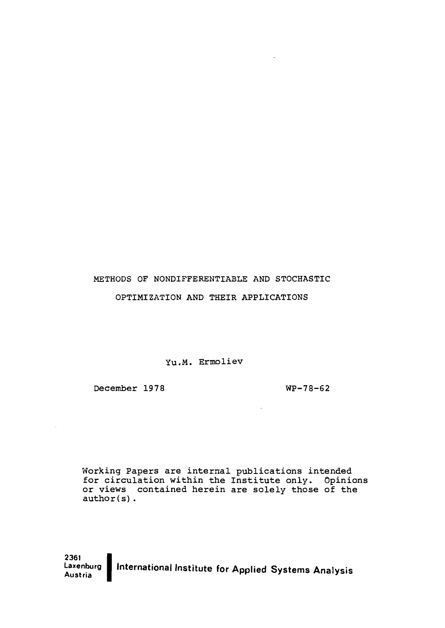# METHODS OF NONDIFFERENTIABLE AND STOCHASTIC OPTIMIZATION AND THEIR APPLICATIONS

Yu.M. Ermoliev

December 1978 WP-78-62

 $\mathcal{L}^{\mathcal{L}}$ 

Working Papers are internal publications intended for circulation within the Institute only. Opinions or views contained herein are solely those of the author (s) .

2361<br>Laxenburg Laxenburg International Institute **for Applied Systems Analysis** Austria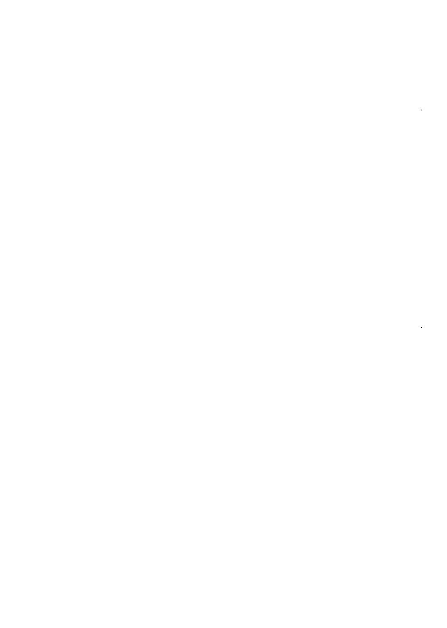$\epsilon$  $\star$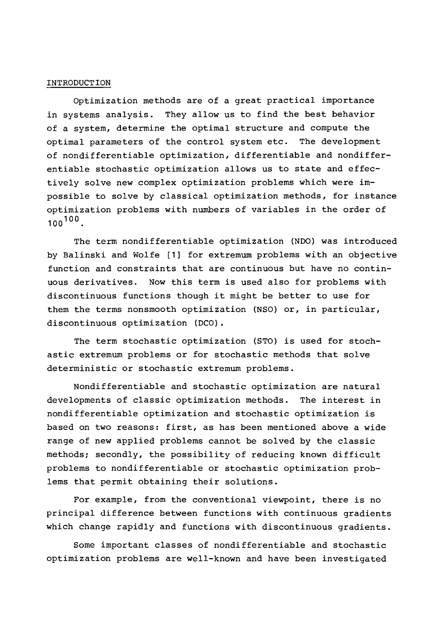#### INTRODUCTION

Optimization methods are of a great practical importance in systems analysis. They allow us to find the best behavior of a system, determine the optimal structure and compute the optimal parameters of the control system etc. The development of nondifferentiable optimization, differentiable and nondifferentiable stochastic optimization allows us to state and effectively solve new complex optimization problems which were impossible to solve by classical optimization methods, for instance optimization problems with numbers of variables in the order of  $100^{100}$ .

The term nondifferentiable optimization (NDO) was introduced by Balinski and Wolfe [1] for extremum problems with an objective function and constraints that are continuous but have no continuous derivatives. Now this term is used also for problems with discontinuous functions though it might be better to use for them the terms nonsmooth optimization (NSO) or, in particular, discontinuous optimization (DCO).

The term stochastic optimization (STO) is used for stochastic extremum problems or for stochastic methods that solve deterministic or stochastic extremum problems.

Nondifferentiable and stochastic optimization are natural developments of classic optimization methods. The interest in nondifferentiable optimization and stochastic optimization is based on two reasons: first, as has been mentioned above <sup>a</sup> wide range of new applied problems cannot be solved by the classic methods; secondly, the possibility of reducing known difficult problems to nondifferentiable or stochastic optimization problems that permit obtaining their solutions.

For example, from the conventional viewpoint, there is no principal difference between functions with continuous gradients which change rapidly and functions with discontinuous gradients.

Some important classes of nondifferentiable and stochastic optimization problems are well-known and have been investigated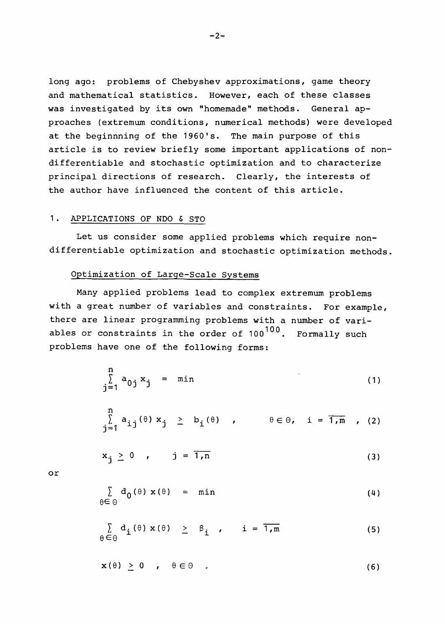long ago: problems of Chebyshev approximations, game theory and mathematical statistics. However, each of these classes was investigated by its own "homemade" methods. General approaches (extremum conditions, numerical methods) were developed at the beginnning of the 1960's. The main purpose of this article is to review briefly some important applications of nondifferentiable and stochastic optimization and to characterize principal directions of research. Clearly, the interests of the author have influenced the content of this article.

### 1. APPLICATIONS OF NDO & STO

Let us consider some applied problems which require nondifferentiable optimization and stochastic optimization methods.

## Optimization of Large-Scale Systems

Many applied problems lead to complex extremum problems with a great number of variables and constraints. For example, there are linear programming problems with a number of variables or constraints in the order of  $100^{100}$ . Formally such problems have one of the following forms:

$$
\sum_{j=1}^{n} a_{0j} x_j = \min \tag{1}
$$

$$
\sum_{j=1}^{n} a_{ij}(\theta) x_j \geq b_i(\theta) , \qquad \theta \in \Theta, \quad i = \overline{1,m} , (2)
$$

$$
x_j \geq 0 \qquad j = \overline{1,n} \tag{3}
$$

or

$$
\sum_{\theta \in \Theta} d_{0}(\theta) x(\theta) = \min \qquad (4)
$$

$$
\begin{array}{ccccccccc}\n\sum_{\theta \in \Theta} d_{i}(\theta) & x(\theta) & \geq & \beta_{i} & , & i = \overline{1,m}\n\end{array}
$$
\n(5)

$$
\mathbf{x}(\theta) \geq 0 \qquad \theta \in \Theta \qquad . \tag{6}
$$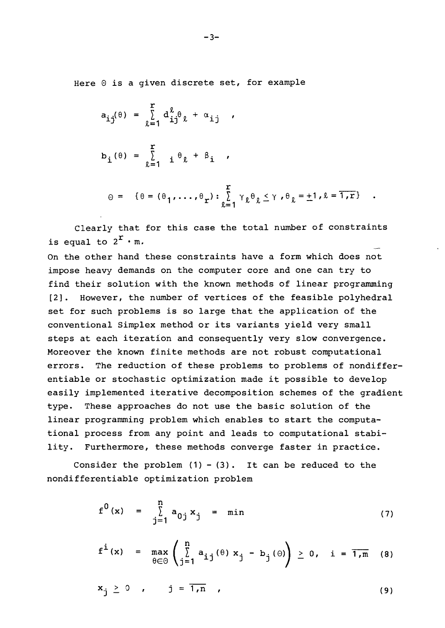Here  $\theta$  is a given discrete set, for example

$$
a_{ij}(\theta) = \sum_{\ell=1}^{r} d_{ij}^{\ell} \theta_{\ell} + \alpha_{ij},
$$
  
\n
$$
b_{i}(\theta) = \sum_{\ell=1}^{r} i \theta_{\ell} + \beta_{i},
$$
  
\n
$$
\theta = \{\theta = (\theta_{1}, \dots, \theta_{r}) : \sum_{\ell=1}^{r} \gamma_{\ell} \theta_{\ell} \leq \gamma, \theta_{\ell} = \pm 1, \ell = 1, r\}
$$

Clearly that for this case the total number of constraints is equal to  $2^r \cdot m$ .

On the other hand these constraints have a form which does not impose heavy demands on the computer core and one can try to find their solution with the known methods of linear programming [2]. However, the number of vertices of the feasible polyhedral set for such problems is so large that the application of the conventional Simplex method or its variants yield very small steps at each iteration and consequently very slow convergence. Moreover the known finite methods are not robust computational errors. The reduction of these problems to problems of nondifferentiable or stochastic optimization made it possible to develop easily implemented iterative decomposition schemes of the gradient type. These approaches do not use the basic solution of the linear programming problem which enables to start the computational process from any point and leads to computational stability. Furthermore, these methods converge faster in practice.

Consider the problem  $(1) - (3)$ . It can be reduced to the nondifferentiable optimization problem

$$
f^{0}(x) = \sum_{j=1}^{n} a_{0j} x_{j} = \min
$$
 (7)

$$
f^{i}(x) = \max_{\theta \in \Theta} \left( \sum_{j=1}^{n} a_{ij}(\theta) x_{j} - b_{j}(\theta) \right) \ge 0, \quad i = \overline{1,m} \quad (8)
$$

 $x_j \ge 0$ ,  $j = \overline{1, n}$ , (9)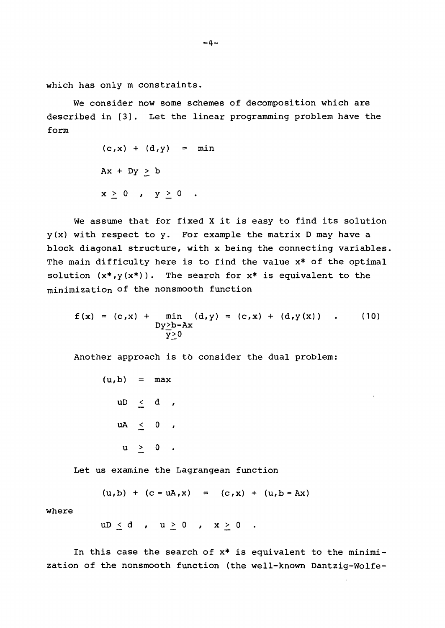which has only m constraints.

We consider now some schemes of decomposition which are described in [3]. Let the linear programming problem have the form

> $(c,x) + (d,y) = min$  $Ax + Dy > b$  $x > 0$ ,  $y > 0$ .

We assume that for fixed <sup>X</sup> it is easy to find its solution y(x) with respect to y. For example the matrix D may have a block diagonal structure, with <sup>x</sup> being the connecting variables. The main difficulty here is to find the value x\* of the optimal solution  $(x^*,y(x^*))$ . The search for  $x^*$  is equivalent to the minimization of the nonsmooth function

$$
f(x) = (c,x) + \min_{\substack{Dy > b - Ax \\ y \ge 0}} (d,y) = (c,x) + (d,y(x)) \quad . \tag{10}
$$

Another approach is to consider the dual problem:

 $(u,b) = max$  $uD \leq d$ ,  $uA \leq 0$ ,  $u > 0$ .

Let us examine the Lagrangean function

$$
(u,b) + (c - uA,x) = (c,x) + (u,b - Ax)
$$

where

$$
uD \leq d \quad , \quad u \geq 0 \quad , \quad x \geq 0 \quad .
$$

In this case the search of  $x^*$  is equivalent to the minimization of the nonsmooth function (the well-known Dantzig-Wolfe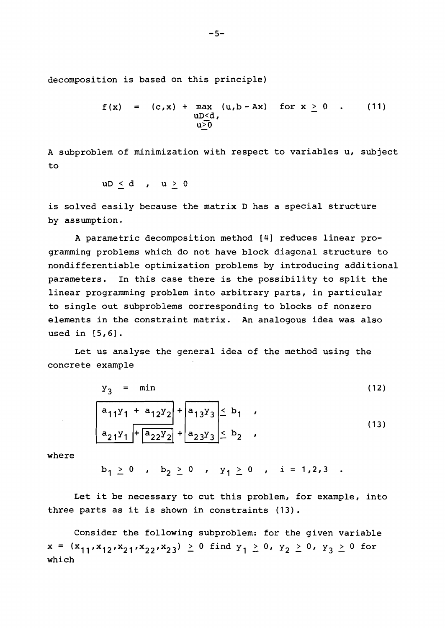decomposition is based on this principle)

$$
f(x) = (c,x) + \max_{\substack{uD < d \\ u \ge 0}} (u,b - Ax) \quad \text{for } x \ge 0 \quad . \tag{11}
$$

A subproblem of minimization with respect to variables u, subject to

$$
\mathtt{uD} \leq \mathtt{d} \quad , \quad \mathtt{u} \geq 0
$$

is solved easily because the matrix D has <sup>a</sup> special structure by assumption.

<sup>A</sup> parametric decomposition method [4] reduces linear programming problems which do not have block diagonal structure to nondifferentiable optimization problems by introducing additional parameters. In this case there is the possibility to split the linear programming problem into arbitrary parts, in particular to single out subproblems corresponding to blocks of nonzero elements in the constraint matrix. An analogous idea was also used in [5,6].

Let us analyse the general idea of the method using the concrete example

$$
y_{3} = \min
$$
\n
$$
\left|\frac{a_{11}y_{1} + a_{12}y_{2}}{a_{21}y_{1} + a_{22}y_{2}}\right| + \left|\frac{a_{13}y_{3}}{a_{23}y_{3}}\right| \leq b_{1}
$$
\n
$$
(12)
$$
\n
$$
(13)
$$

where

 $b_1 \geq 0$  ,  $b_2 \geq 0$  ,  $y_1 \geq 0$  ,  $i = 1, 2, 3$  .

Let it be necessary to cut this problem, for example, into three parts as it is shown in constraints (13).

Consider the following subproblem: for the given variable  $x = (x_{11}, x_{12}, x_{21}, x_{22}, x_{23}) \ge 0$  find  $y_1 \ge 0$ ,  $y_2 \ge 0$ ,  $y_3 \ge 0$  for which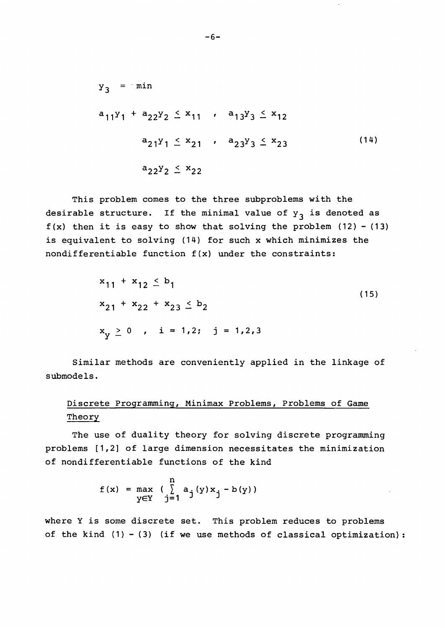$$
y_{3} = \min
$$
  
\n
$$
a_{11}y_{1} + a_{22}y_{2} \le x_{11} \quad , \quad a_{13}y_{3} \le x_{12}
$$
  
\n
$$
a_{21}y_{1} \le x_{21} \quad , \quad a_{23}y_{3} \le x_{23}
$$
  
\n
$$
a_{22}y_{2} \le x_{22}
$$
\n(14)

This problem comes to the three subproblems with the desirable structure. If the minimal value of  $y_3$  is denoted as  $f(x)$  then it is easy to show that solving the problem (12) - (13) is equivalent to solving (14) for such <sup>x</sup> which minimizes the nondifferentiable function f(x} under the constraints:

$$
x_{11} + x_{12} \le b_1
$$
  
\n
$$
x_{21} + x_{22} + x_{23} \le b_2
$$
  
\n
$$
x_{y} \ge 0, \quad i = 1, 2; \quad j = 1, 2, 3
$$
  
\n(15)

Similar methods are conveniently applied in the linkage of submodels.

## Discrete Programming, Minimax Problems, Problems of Game **Theory**

The use of duality theory for solving discrete programming problems [1,2] of large dimension necessitates the minimization of nondifferentiable functions of the kind

$$
f(x) = \max_{y \in Y} \left( \sum_{j=1}^{n} a_j(y) x_j - b(y) \right)
$$

where <sup>Y</sup> is some discrete set. This problem reduces to problems of the kind (1) - (3) (if we use methods of classical optimization):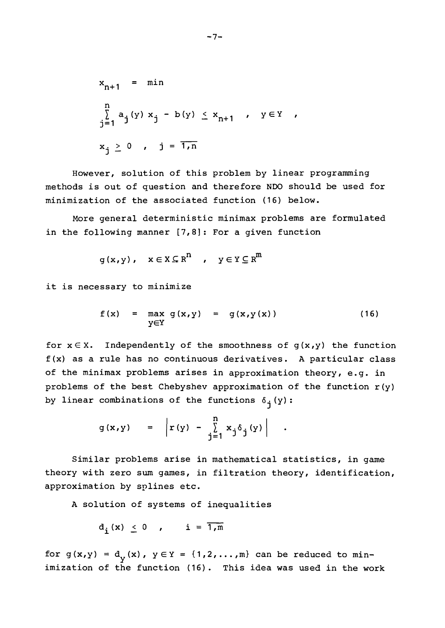$$
x_{n+1} = \min
$$
  
\n
$$
\sum_{j=1}^{n} a_j (y) x_j - b(y) \le x_{n+1} , y \in Y ,
$$
  
\n
$$
x_j \ge 0 , j = \overline{1, n}
$$

However, solution of this problem by linear programming methods is out of question and therefore NDO should be used for minimization of the associated function (16) below.

More general deterministic minimax problems are formulated in the following manner [7,8]: For a given function

$$
g(x,y)
$$
,  $x \in X \subsetneq R^n$ ,  $y \in Y \subseteq R^m$ 

it is necessary to minimize

$$
f(x) = \max_{y \in Y} g(x,y) = g(x,y(x))
$$
 (16)

for  $x \in X$ . Independently of the smoothness of  $g(x,y)$  the function f(x} as <sup>a</sup> rule has no continuous derivatives. <sup>A</sup> particular class of the minimax problems arises in approximation theory, e.g. in problems of the best Chebyshev approximation of the function  $r(y)$ by linear combinations of the functions  $\delta_{\dot{1}}(y)$ :

$$
g(x,y) = \left| r(y) - \sum_{j=1}^{n} x_j \delta_j(y) \right|
$$

Similar problems arise in mathematical statistics, in game theory with zero sum games, in filtration theory, identification, approximation by splines etc.

<sup>A</sup> solution of systems of inequalities

$$
d_{\underline{i}}(x) \leq 0 \quad , \qquad \underline{i} = \overline{1,m}
$$

for  $g(x,y) = d_y(x)$ ,  $y \in Y = \{1,2,\ldots,m\}$  can be reduced to minimization of the function (16). This idea was used in the work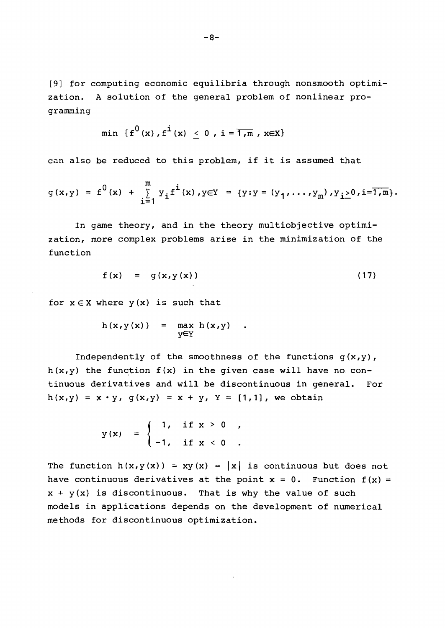[9] for computing economic equilibria through nonsmooth optimization. A solution of the general problem of nonlinear proqramming

min {f<sup>0</sup>(x), f<sup>i</sup>(x) 
$$
\leq
$$
 0, i =  $\overline{1,m}$ , x $\in$ X}

can also be reduced to this problem, if it is assumed that

$$
g(x,y) = f^{0}(x) + \sum_{i=1}^{m} y_{i} f^{i}(x), y \in Y = \{y : y = (y_{1}, \ldots, y_{m}), y_{i} \geq 0, i = \overline{1,m}\}.
$$

In game theory, and in the theory multiobjective optimization, more complex problems arise in the minimization of the function

$$
f(x) = g(x,y(x))
$$
 (17)

for  $x \in X$  where  $y(x)$  is such that

$$
h(x,y(x)) = \max_{y \in Y} h(x,y)
$$

Independently of the smoothness of the functions  $g(x,y)$ , h(x,y) the function  $f(x)$  in the given case will have no. continuous derivatives and will be discontinuous in general. For  $h(x,y) = x \cdot y$ ,  $g(x,y) = x + y$ ,  $Y = [1,1]$ , we obtain

$$
y(x) = \begin{cases} 1, & \text{if } x > 0 \\ -1, & \text{if } x < 0 \end{cases}
$$

The function  $h(x,y(x)) = xy(x) = |x|$  is continuous but does not have continuous derivatives at the point  $x = 0$ . Function  $f(x) =$  $x + y(x)$  is discontinuous. That is why the value of such models in applications depends on the development of numerical methods for discontinuous optimization.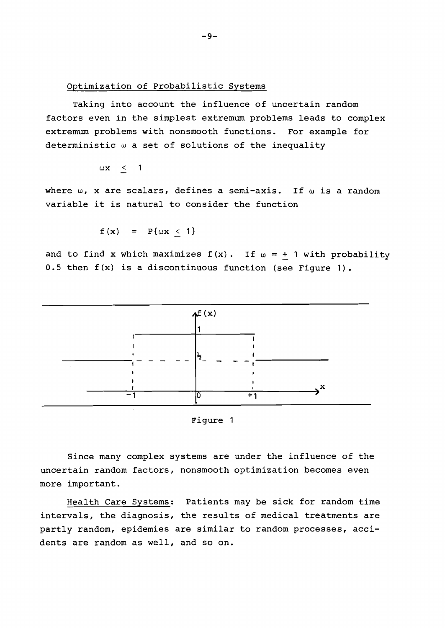## Optimization of Probabilistic Systems

Taking into account the influence of uncertain random factors even in the simplest extremum problems leads to complex extremum problems with nonsmooth functions. For example for deterministic w a set of solutions of the inequality

 $\omega x$  < 1

where  $\omega$ , x are scalars, defines a semi-axis. If  $\omega$  is a random variable it is natural to consider the function

$$
f(x) = P\{\omega x \leq 1\}
$$

and to find x which maximizes  $f(x)$ . If  $\omega = +1$  with probability 0.5 then  $f(x)$  is a discontinuous function (see Figure 1).



Since many complex systems are under the influence of the uncertain random factors, nonsmooth optimization becomes even more important.

Health Care Systems: Patients may be sick for random time intervals, the diagnosis, the results of medical treatments are partly random, epidemies are similar to random processes, accidents are random as well, and so on.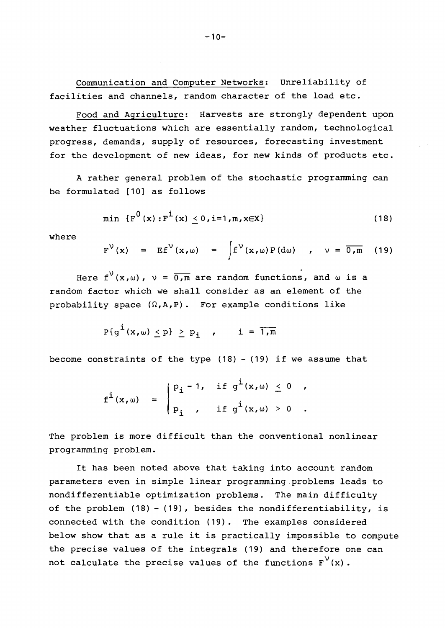Communication and Computer Networks: Unreliability of facilities and channels, random character of the load etc.

Food and Agriculture: Harvests are strongly dependent upon weather fluctuations which are essentially random, technological progress, demands, supply of resources, forecasting investment for the development of new ideas, for new kinds of products etc.

A rather general problem of the stochastic programming can be formulated [10] as follows

min {
$$
F^0(x):F^{\mathbf{i}}(x) \leq 0, \mathbf{i} = 1, m, x \in X
$$
} (18)

where

$$
F^{\mathcal{V}}(x) = EF^{\mathcal{V}}(x,\omega) = \int f^{\mathcal{V}}(x,\omega) P(d\omega) , \quad \nu = \overline{0,m}
$$
 (19)

Here  $f^{\vee}(x,\omega)$ ,  $\nu = \overline{0,m}$  are random functions, and  $\omega$  is a random factor which we shall consider as an element of the probability space  $(\Omega, A, P)$ . For example conditions like

$$
P{g^i(x, \omega) \leq p} \geq p_i
$$
,  $i = \overline{1, m}$ 

become constraints of the type  $(18)$  -  $(19)$  if we assume that

$$
f^{\dot{1}}(x,\omega) = \begin{cases} P_{\dot{1}} - 1, & \text{if } g^{\dot{1}}(x,\omega) \leq 0, \\ P_{\dot{1}}, & \text{if } g^{\dot{1}}(x,\omega) > 0. \end{cases}
$$

The problem is more difficult than the conventional nonlinear programming problem.

It has been noted above that taking into account random parameters even in simple linear programming.problems leads to nondifferentiable optimization problems. The main difficulty of the problem  $(18) - (19)$ , besides the nondifferentiability, is connected with the condition (19). The examples considered below show that as <sup>a</sup> rule it is practically impossible to compute the precise values of the integrals (19) and therefore one can not calculate the precise values of the functions  $F^{V}(x)$ .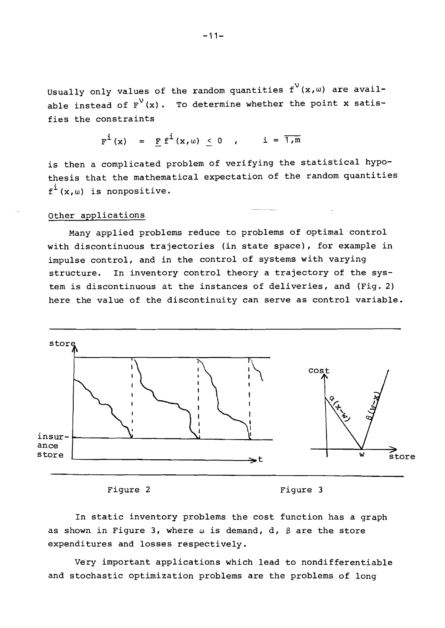Usually only values of the random quantities  $f^V(x,\omega)$  are available instead of  $F^V(x)$ . To determine whether the point x satisfies the constraints

$$
F^{\dot{1}}(x) = F f^{\dot{1}}(x, \omega) \leq 0 \quad , \qquad \dot{1} = \overline{1, m}
$$

is then <sup>a</sup> complicated problem of verifying the statistical hypothesis that the mathematical expectation of the random quantities  $f^1(x,\omega)$  is nonpositive.

#### Other applications

Many applied problems reduce to problems of optimal control with discontinuous trajectories (in state space), for example in impulse control, and in the control of systems with varying structure. In inventory control theory <sup>a</sup> trajectory of the system is discontinuous at the instances of deliveries, and (Fig. 2) here the value of the discontinuity can serve as control variable.



Figure 2 Figure 3

In static inventory problems the cost function has <sup>a</sup> graph as shown in Figure 3, where  $\omega$  is demand, d,  $\beta$  are the store expenditures and losses respectively.

Very important applications which lead to nondifferentiable and stochastic optimization problems are the problems of long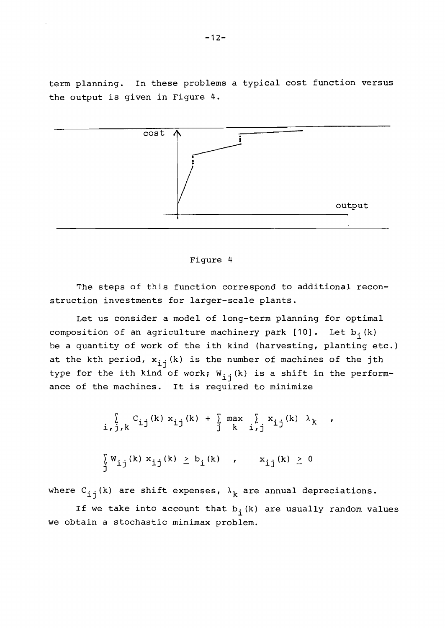term planning. In these problems a typical cost function versus the output is given in Figure 4.





The steps of this function correspond to additional reconstruction investments for larger-scale plants.

Let us consider a model of long-term planning for optimal composition of an agriculture machinery park [10]. Let  $b^{\phantom{\dagger}}_{\textbf{i}}(k)$ be <sup>a</sup> quantity of work of the ith kind (harvesting, planting etc.) at the kth period,  $x_{i,j}^{\dagger}(k)$  is the number of machines of the jth type for the ith kind of work;  $W_{ij}(k)$  is a shift in the performance of the machines. It is required to minimize

> $\sum_{i,j}$  C<sub>ij</sub>(k) x<sub>ij</sub>(k) +  $\sum$  $\sum_{\textbf{i,j,k}}^{\text{c}}$  C<sub>ij</sub>(k)  $x_{\textbf{ij}}$ (k) +  $\sum_{\textbf{j}}^{\text{max}}$  k k  $\sum_{i=1}^{\infty}$   $x_{i,i}$  (k)  $\lambda_k$  $\frac{2}{\mathbf{i}}$ , j $^{\mathbf{x}}$ ij  $\sum_{i=1}^{N} W_{i,j}(k) x_{i,j}(k) \geq b_{i}(k)$  ,  $x_{i,j}(k) \geq 0$

where  $C_{i,j}(k)$  are shift expenses,  $\lambda_k$  are annual depreciations.

If we take into account that  $b_{\textbf{i}}^{\phantom{\dag}}(k)$  are usually random values we obtain a stochastic minimax problem.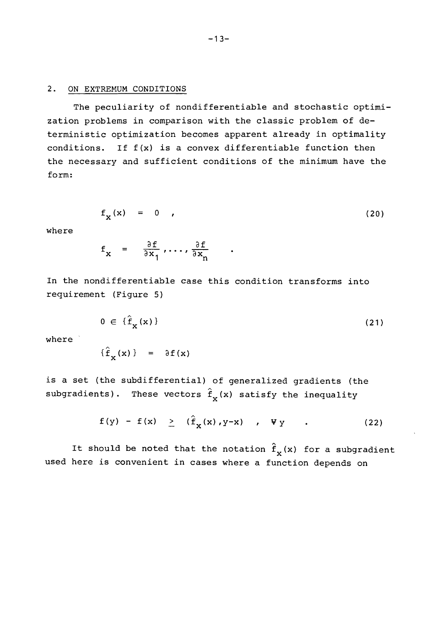#### 2. ON EXTREMUM CONDITIONS

The peculiarity of nondifferentiable and stochastic optimization problems in comparison with the classic problem of deterministic optimization becomes apparent already in optimality conditions. If f(x) is <sup>a</sup> convex differentiable function then the necessary and sufficient conditions of the minimum have the form:

$$
f_{x}(x) = 0 , \qquad (20)
$$

where

$$
f_x = \frac{\partial f}{\partial x_1}, \dots, \frac{\partial f}{\partial x_n}
$$

In the nondifferentiable case this condition transforms into requirement (Figure 5)

$$
0 \in \{ \hat{f}_{\mathbf{x}}(\mathbf{x}) \} \tag{21}
$$

where  $\ddot{\phantom{a}}$ 

$$
\{\hat{f}_x(x)\} = \partial f(x)
$$

is <sup>a</sup> set (the subdifferential) of generalized gradients (the subgradients). These vectors  $\hat{f}_{x}(x)$  satisfy the inequality

$$
f(y) - f(x) \geq (\hat{f}_X(x), y-x) , \quad \forall y \qquad . \qquad (22)
$$

It should be noted that the notation  $\hat{f}_x(x)$  for a subgradient used here is convenient in cases where <sup>a</sup> function depends on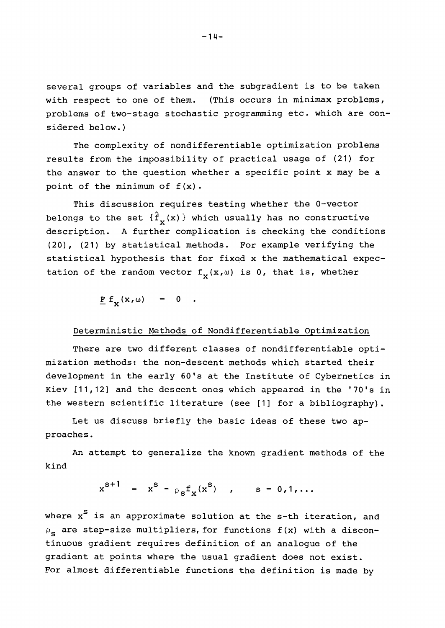several groups of variables and the subgradient is to be taken with respect to one of them. (This occurs in minimax problems, problems of two-stage stochastic programming etc. which are considered below.)

The complexity of nondifferentiable optimization problems results from the impossibility of practical usage of (21) for the answer to the question whether a specific point x may be a point of the minimum of  $f(x)$ .

This discussion requires testing whether the O-vector belongs to the set  $\{\hat{f}_x(x)\}\$  which usually has no constructive description. <sup>A</sup> further complication is checking the conditions (20), (21) by statistical methods. For example verifying the statistical hypothesis that for fixed <sup>x</sup> the mathematical expectation of the random vector  $f_{x}(x,\omega)$  is 0, that is, whether

 $\underline{F} f_{\mathbf{x}}(\mathbf{x},\omega) = 0$ .

#### Deterministic Methods of Nondifferentiable Optimization

There are two different classes of nondifferentiable optimization methods: the non-descent methods which started their development in the early 60's at the Institute of Cybernetics in Kiev [11,12] and the descent ones which appeared in the '70's in the western scientific literature (see [1] for <sup>a</sup> bibliography).

Let us discuss briefly the basic ideas of these two approaches.

An attempt to generalize the known gradient methods of the kind

 $x^{s+1} = x^s - \rho_s f_x(x^s)$ ,  $s = 0,1,...$ 

where  $x^S$  is an approximate solution at the s-th iteration, and  $p_{\texttt{c}}$  are step-size multipliers, for functions f(x) with a discontinuous gradient requires definition of an analogue of the gradient at points where the usual gradient does not exist. For almost differentiable functions the definition is made by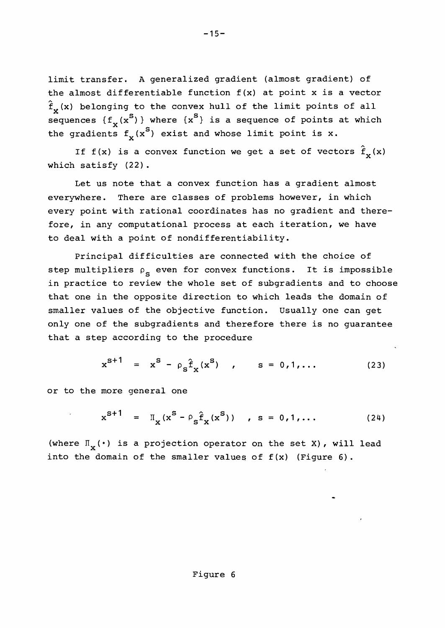limit transfer. <sup>A</sup> generalized gradient (almost gradient) of the almost differentiable function f(x) at point <sup>x</sup> is <sup>a</sup> vector  $\hat{f}_{\mathbf{x}}(x)$  belonging to the convex hull of the limit points of all sequences  $\{f_x(x^S)\}$  where  $\{x^S\}$  is a sequence of points at which the gradients  $f_x(x^s)$  exist and whose limit point is x.

If f(x) is a convex function we get a set of vectors  $\hat{f}_{\mathbf{x}}(\mathbf{x})$ which satisfy (22).

Let us note that <sup>a</sup> convex function has <sup>a</sup> gradient almost everywhere. There are classes of problems however, in which every point with rational coordinates has no gradient and therefore, in any computational process at each iteration, we have to deal with <sup>a</sup> point of nondifferentiability.

Principal difficulties are connected with the choice of step multipliers  $\rho_{_{\mathbf{S}}}$  even for convex functions. It is impossible in practice to review the whole set of subgradients and to choose that one in the opposite direction to which leads the domain of smaller values of the objective function. Usually one can get only one of the subgradients and therefore there is no guarantee that <sup>a</sup> step according to the procedure

$$
x^{s+1} = x^{s} - \rho_{s} \hat{f}_{x}(x^{s}) , \qquad s = 0, 1, ... \qquad (23)
$$

or to the more general one

$$
x^{S+1} = \mathbb{I}_X(x^S - \rho_S \hat{f}_X(x^S)) , \quad s = 0, 1, ... \tag{24}
$$

(where  $\mathbb{I}_{\mathbf{v}}(\cdot)$  is a projection operator on the set X), will lead into the domain of the smaller values of  $f(x)$  (Figure 6).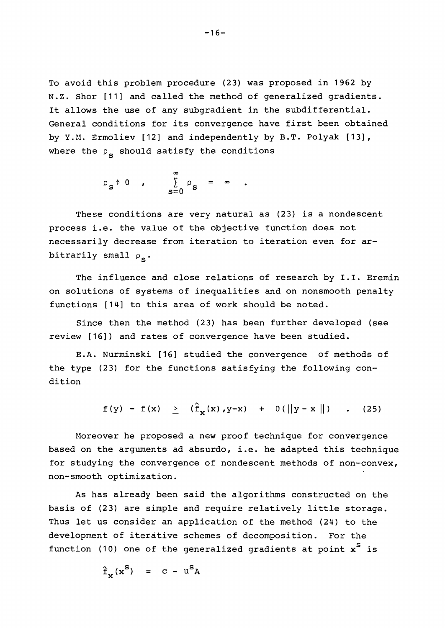To avoid this problem procedure (23) was proposed in 1962 by N.Z. Shor [11] and called the method of generalized gradients. It allows the use of any subgradient in the subdifferential. General conditions for its convergence have first been obtained by Y.M. Ermoliev [12] and independently by B.T. Polyak [13], where the  $p_{\text{g}}$  should satisfy the conditions

$$
\rho_{s} \uparrow 0 \quad , \qquad \sum_{s=0}^{\infty} \rho_{s} = \infty
$$

These conditions are very natural as (23) is <sup>a</sup> nondescent process i.e. the value of the objective function does not necessarily decrease from iteration to iteration even for arbitrarily small  $\rho_{\mathbf{c}}$ .

The influence and close relations of research by 1.1. Eremin on solutions of systems of inequalities and on nonsmooth penalty functions [14] to this area of work should be noted.

Since then the method (23) has been further developed (see review [16]) and rates of convergence have been studied.

E.A. Nurminski [16] studied the convergence of methods of the type (23) for the functions satisfying the following condition

$$
f(y) - f(x) \ge (\hat{f}_x(x), y-x) + 0(||y-x||)
$$
 (25)

Moreover he proposed a new proof technique for convergence based on the arguments ad absurdo, i.e. he adapted this technique for studying the convergence of nondescent methods of non-convex, non-smooth optimization.

As has already been said the algorithms constructed on the basis of (23) are simple and require relatively little storage. Thus let us consider an application of the method (24) to the development of iterative schemes of decomposition. For the function (10) one of the generalized gradients at point  $\mathrm{x}^\mathbf{S}$  is

$$
\hat{f}_X(x^S) = c - u^S A
$$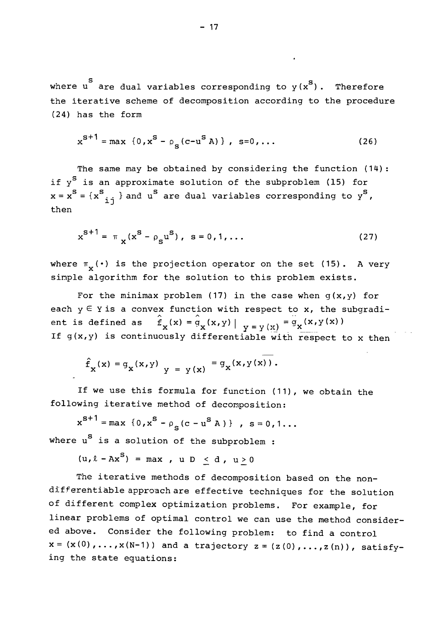where u<sup>s</sup> are dual variables corresponding to  $y(x^S)$ . Therefore the iterative scheme of decomposition according to the procedure (24) has the form

$$
x^{S+1} = \max \{0, x^S - \rho_S (c - u^S A) \}, \quad s = 0, ... \tag{26}
$$

The same may be obtained by considering the function (14): if  $y^S$  is an approximate solution of the subproblem (15) for  $x = x<sup>S</sup> = {x<sup>S</sup>}_{i,j}$  and u<sup>S</sup> are dual variables corresponding to  $y<sup>S</sup>$ , then

$$
x^{S+1} = \pi_{X}(x^{S} - \rho_{S}u^{S}), \quad s = 0, 1, ...
$$
 (27)

where  $\pi_{\mathbf{x}}(\cdot)$  is the projection operator on the set (15). A very simple algorithm for the solution to this problem exists.

For the minimax problem (17) in the case when  $q(x,y)$  for each  $y \in Y$  is a convex function with respect to x, the subgradient is defined as  $\hat{f}_x(x) = \hat{g}_x(x,y) | y = y(x) = g_x(x,y(x))$ If g(x,y) is continuously differentiable with respect to <sup>x</sup> then

$$
\hat{f}_{x}(x) = g_{x}(x,y)_{y = y(x)} = g_{x}(x,y(x)).
$$

If we use this formula for function (11), we obtain the following iterative method of decomposition:

 $x^{s+1} = max \{0, x^s - \rho_s (c - u^s A)\}$ , s=0,1... where  $u^S$  is a solution of the subproblem:

 $(u, \ell - Ax^S) = max$ , u D < d, u > 0

The iterative methods of decomposition based on the nondifferentiable approach are effective techniques for the solution of different complex optimization problems. For example, for linear problems of optimal control we can use the method considered above. Consider the following problem: to find a control  $x = (x(0), ..., x(N-1))$  and a trajectory  $z = (z(0), ..., z(n))$ , satisfying the state equations: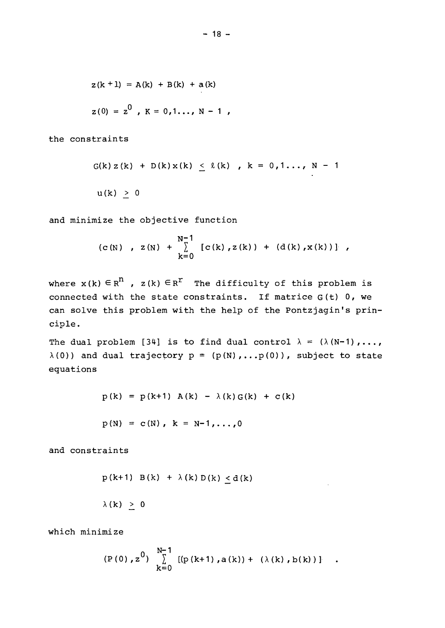$$
z(k + 1) = A(k) + B(k) + a(k)
$$
  
 $z(0) = z0$ ,  $K = 0, 1, ..., N - 1$ ,

the constraints

$$
G(k) z(k) + D(k) x(k) \le \ell(k)
$$
,  $k = 0, 1, ..., N - 1$   
 $u(k) \ge 0$ 

and minimize the objective function

$$
(c(N), z(N) + \sum_{k=0}^{N-1} [c(k), z(k)) + (d(k), x(k))],
$$

where  $x(k) \in R^n$ ,  $z(k) \in R^r$  The difficulty of this problem is connected with the state constraints. If matrice G(t) 0, we can solve this problem with the help of the Pontzjagin's principle.

The dual problem [34] is to find dual control  $\lambda = (\lambda(N-1), \ldots, \lambda)$  $\lambda(0)$ ) and dual trajectory  $p = (p(N), \ldots, p(0))$ , subject to state equations

$$
p(k) = p(k+1) A(k) - \lambda(k) G(k) + c(k)
$$

$$
p(N) = c(N), k = N-1,...,0
$$

and constraints

$$
p(k+1) B(k) + \lambda(k) D(k) \leq d(k)
$$
  

$$
\lambda(k) \geq 0
$$

which minimize

$$
(P(0), z^{0}) \sum_{k=0}^{N-1} [(p(k+1), a(k)) + (\lambda(k), b(k))]
$$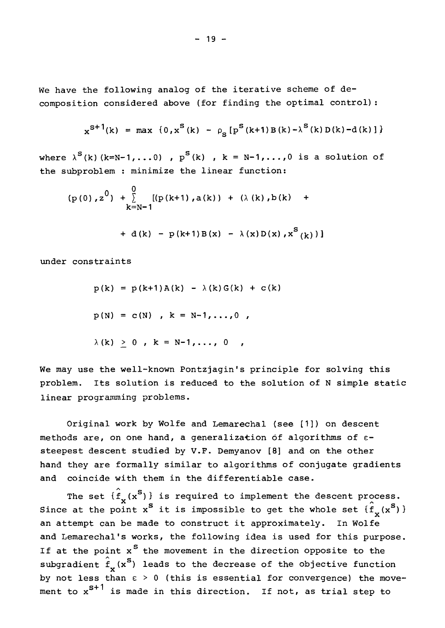We have the following analog of the iterative scheme of decomposition considered above (for finding the optimal control):

$$
x^{S+1}(k) = \max \{0, x^S(k) - \rho_S [p^S(k+1)B(k) - \lambda^S(k)D(k) - d(k)]\}
$$

where  $\lambda^{S}(k)$  (k=N-1, ...0),  $p^{S}(k)$ ,  $k = N-1, ..., 0$  is a solution of the subproblem : minimize the linear function:

$$
(p(0), z0) + \sum_{k=N-1}^{0} [(p(k+1), a(k)) + (\lambda(k), b(k)) + (d(k)) - p(k+1)B(x) - \lambda(x)D(x), xS(k))]
$$

under constraints

$$
p(k) = p(k+1)A(k) - \lambda(k)G(k) + c(k)
$$
  

$$
p(N) = c(N), k = N-1,...,0,
$$
  

$$
\lambda(k) \ge 0, k = N-1,...,0,
$$

We may use the well-known Pontzjagin's principle for solving this problem. Its solution is reduced to the solution of <sup>N</sup> simple static linear programming problems.

Original work by Wolfe and Lemarechal (see [1]) on descent methods are, on one hand, a generalization of algorithms of  $\varepsilon$ steepest descent studied by V.F. Demyanov [8] and on the other hand they are formally similar to algorithms of conjugate gradients and coincide with them in the differentiable case.

The set  $\hat{f}_{\mathbf{x}}(\mathbf{x}^{\mathbf{S}})$  is required to implement the descent process. Since at the point  $x^S$  it is impossible to get the whole set  $\hat{f}_x(x^S)$ an attempt can be made to construct it approximately. In Wolfe and Lemarechal's works, the following idea is used for this purpose. If at the point  $x^S$  the movement in the direction opposite to the subgradient  $\hat{f}_{\mathbf{x}}(\mathbf{x^S})$  leads to the decrease of the objective function by not less than  $\epsilon > 0$  (this is essential for convergence) the movement to  $x^{s+1}$  is made in this direction. If not, as trial step to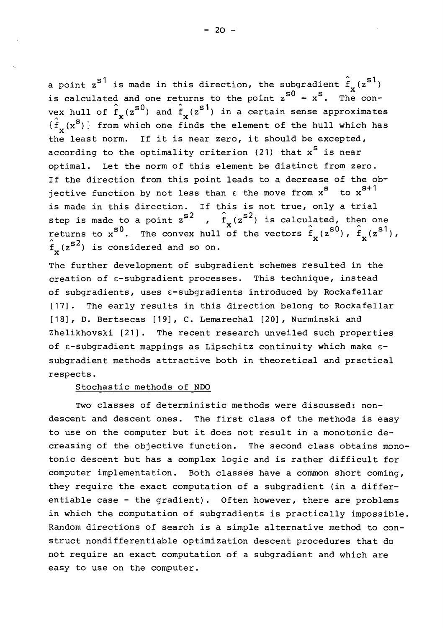a point  $z^{\texttt{S1}}$  is made in this direction, the subgradient  $\hat{\texttt{f}}_{\mathbf{x}}(z^{\texttt{S1}})$ is calculated and one returns to the point  $z^{50} = x^5$ . The convex hull of  $\hat{f}_x(z^{s0})$  and  $\hat{f}_x(z^{s1})$  in a certain sense approximates  $\{\hat{f}_{x}(x^{S})\}$  from which one finds the element of the hull which has the least norm. If it is near zero, it should be excepted, according to the optimality criterion (21) that  $x^S$  is near optimal. Let the norm of this element be distinct from zero. If the direction from this point leads to a decrease of the objective function by not less than  $\varepsilon$  the move from  $\texttt{x}^{\texttt{S}}$  to  $\texttt{x}^{\texttt{S+1}}$ is made in this direction. If this is not true, only a trial<br>step is made to a point  $z^{S2}$  ,  $\hat{f}_x(z^{S2})$  is calculated, then one returns to  $x^{50}$ . The convex hull of the vectors  $\hat{f}_x(z^{50})$ ,  $\hat{f}_x(z^{51})$ ,  $\hat{f}_{\mathbf{x}}(\mathbf{z}^{\mathbf{s2}})$  is considered and so on.

The further development of subgradient schemes resulted in the creation of  $\varepsilon$ -subgradient processes. This technique, instead of subgradients, uses  $\varepsilon$ -subgradients introduced by Rockafellar [17]. The early results in this direction belong to Rockafellar [18], D. Bertsecas [19], C. Lemarechal [20], Nurminski and Zhelikhovski [21]. The recent research unveiled such properties of  $\epsilon$ -subgradient mappings as Lipschitz continuity which make  $\epsilon$ subgradient methods attractive both in theoretical and practical respects.

#### Stochastic methods of NDQ

Two classes of deterministic methods were discussed: nondescent and descent ones. The first class of the methods is easy to use on the computer but it does not result in <sup>a</sup> monotonic decreasing of the objective function. The second class obtains monotonic descent but has <sup>a</sup> complex logic and is rather difficult for computer implementation. Both classes have a common short coming, they require the exact computation of <sup>a</sup> subgradient (in <sup>a</sup> differentiable case - the gradient). Often however, there are problems in which the computation of subgradients is practically impossible. Random directions of search is <sup>a</sup> simple alternative method to construct nondifferentiable optimization descent procedures that do not require an exact computation of a subgradient and which are easy to use on the computer.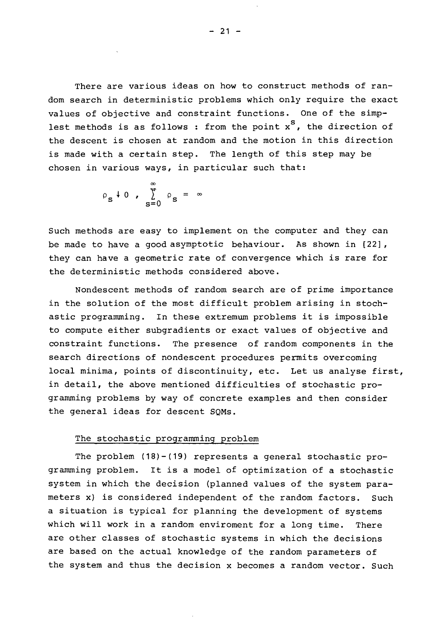There are various ideas on how to construct methods of random search in deterministic problems which only require the exact values of objective and constraint functions. One of the simplest methods is as follows : from the point  $\mathbf{x}^\mathbf{S}$ , the direction of the descent is chosen at random and the motion in this direction is made with <sup>a</sup> certain step. The length of this step may be chosen in various ways, in particular such that:

$$
\rho_{s} \downarrow 0 \quad , \quad \sum_{s=0}^{\infty} \rho_{s} = \infty
$$

Such methods are easy to implement on the computer and they can be made to have a good asymptotic behaviour. As shown in [22], they can have <sup>a</sup> geometric rate of convergence which is rare for the deterministic methods considered above.

Nondescent methods of random search are of prime importance in the solution of the most difficult problem arising in stochastic programming. In these extremum problems it is impossible to compute either subgradients or exact values of objective and constraint functions. The presence of random components in the search directions of nondescent procedures permits overcoming local minima, points of discontinuity, etc. Let us analyse first, in detail, the above mentioned difficulties of stochastic programming problems by way of concrete examples and then consider the general ideas for descent SQMs.

#### The stochastic programming problem

The problem (18)-(19) represents a general stochastic programming problem. It is <sup>a</sup> model of optimization of <sup>a</sup> stochastic system in which the decision (planned values of the system parameters x) is considered independent of the random factors. Such <sup>a</sup> situation is typical for planning the development of systems which will work in a random enviroment for a long time. There are other classes of stochastic systems in which the decisions are based on the actual knowledge of the random parameters of the system and thus the decision x becomes a random vector. Such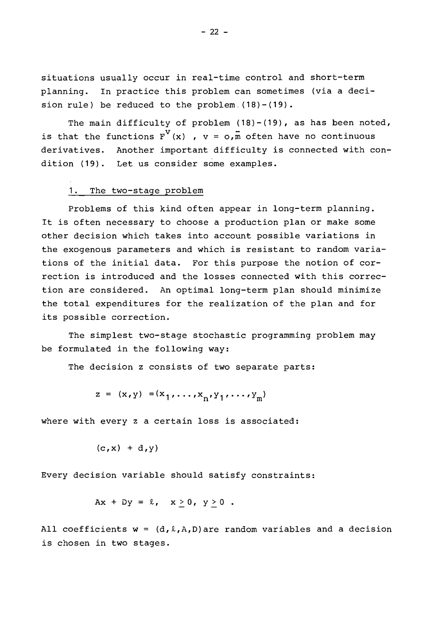situations usually occur in real-time control and short-term planning. In practice this problem can sometimes (via <sup>a</sup> decision rule) be reduced to the problem.  $(18)-(19)$ .

The main difficulty of problem  $(18)-(19)$ , as has been noted, is that the functions  $F^{V}(x)$ ,  $v = o, \overline{m}$  often have no continuous derivatives. Another important difficulty is connected with condition (19). Let us consider some examples.

#### **1.** The two-stage problem

Problems of this kind often appear in long-term planning. It is often necessary to choose <sup>a</sup> production plan or make some other decision which takes into account possible variations in the exogenous parameters and which is resistant to random variations of the initial data. For this purpose the notion of correction is introduced and the losses connected with this correction are considered. An optimal long-term plan should minimize the total expenditures for the realization of the plan and for its possible correction.

The simplest two-stage stochastic programming problem may be formulated in the following way:

The decision z consists of two separate parts:

$$
z = (x, y) = (x_1, \dots, x_n, y_1, \dots, y_m)
$$

where with every z a certain loss is associated:

 $(c, x) + d, y$ 

Every decision variable should satisfy constraints:

$$
Ax + Dy = \ell, \quad x \ge 0, \quad y \ge 0
$$

All coefficients  $w = (d, \ell, A, D)$  are random variables and a decision is chosen in two stages.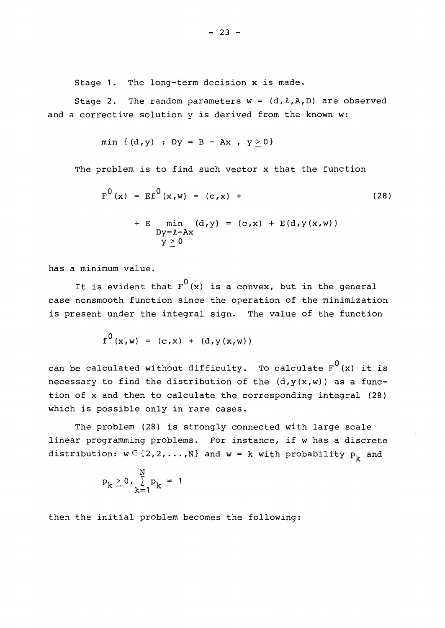Stage 1. The long-term decision <sup>x</sup> is made.

Stage 2. The random parameters  $w = (d, \ell, A, D)$  are observed and <sup>a</sup> corrective solution <sup>y</sup> is derived from the known w:

min {
$$
(d,y)
$$
 : Dy = B - Ax ,  $y \ge 0$ }

The problem is to find such vector x that the function

$$
F^{0}(x) = Ef^{0}(x, w) = (c, x) +
$$
  
+ E min (d, y) = (c, x) + E(d, y(x, w))  
Dy=2-Ax  
y \ge 0

has a minimum value.

It is evident that  $F^0(x)$  is a convex, but in the general case nonsmooth function since the operation of the minimization is present under the integral sign. The value of the function

$$
f^{0}(x,w) = (c,x) + (d,y(x,w))
$$

can be calculated without difficulty. To calculate  $F^0(x)$  it is necessary to find the distribution of the  $(d, y(x, w))$  as a function of x and then to calculate the corresponding integral (28) which is possible only in rare cases.

The problem (28) is strongly connected with large scale linear programming problems. For instance, if <sup>w</sup> has <sup>a</sup> discrete distribution:  $w \in \{2, 2, ..., N\}$  and  $w = k$  with probability  $p_k$  and

$$
P_k \geq 0, \sum_{k=1}^N P_k = 1
$$

then the initial problem becomes the following: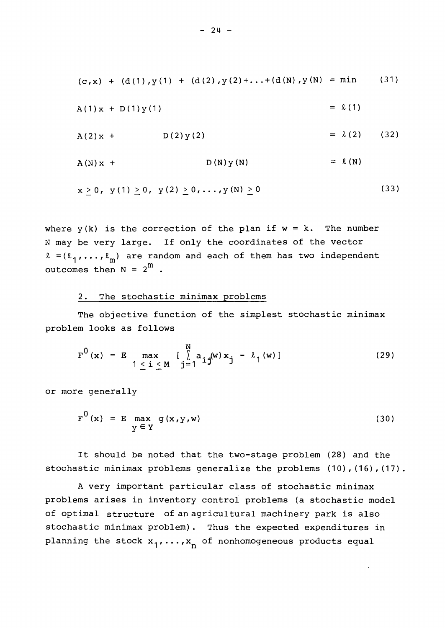$$
(c, x) + (d(1), y(1) + (d(2), y(2) + ... + (d(N), y(N)) = min
$$
(31)  
\n
$$
A(1)x + D(1)y(1)
$$
  
\n
$$
= \ell(1)
$$
  
\n
$$
A(2)x + D(2)y(2)
$$
  
\n
$$
= \ell(2)
$$
(32)  
\n
$$
A(N)x + D(N)y(N) = \ell(N)
$$
  
\n
$$
x \ge 0, y(1) \ge 0, y(2) \ge 0, ..., y(N) \ge 0
$$
(33)

where  $y(k)$  is the correction of the plan if  $w = k$ . The number <sup>N</sup> may be very large. If only the coordinates of the vector  $\ell = (\ell_1, \ldots, \ell_m)$  are random and each of them has two independent outcomes then  $N = 2^m$ .

#### 2. The stochastic minimax problems

The objective function of the simplest stochastic minimax problem looks as follows

$$
F^{0}(x) = E \max_{1 \leq i \leq M} \left[ \sum_{j=1}^{N} a_{ij}(w) x_{j} - \ell_{1}(w) \right]
$$
 (29)

or more generally

$$
F^{0}(x) = E \max_{Y \in Y} g(x, y, w)
$$
 (30)

It should be noted that the two-stage problem (28) and the stochastic minimax problems generalize the problems (10), (16), (17).

A very important particular class of stochastic minimax problems arises in inventory controi problems (a stochastic model of optimal structure of an agricultural machinery park is also stochastic minimax problem). Thus the expected expenditures in planning the stock  $x_1, \ldots, x_n$  of nonhomogeneous products equal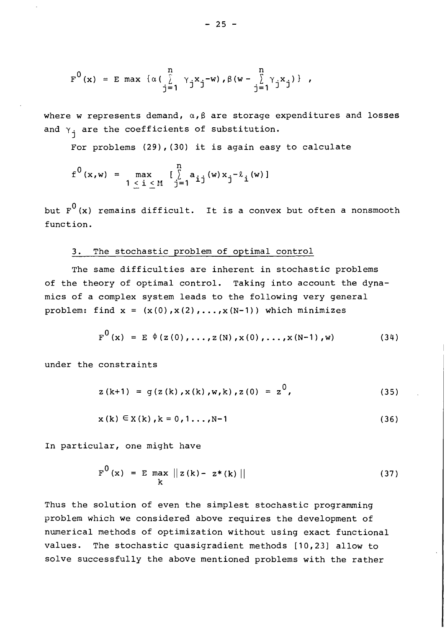$$
F^{0}(x) = E \max \{ \alpha \left( \sum_{j=1}^{n} \gamma_{j} x_{j} - w \right), \beta (w - \sum_{j=1}^{n} \gamma_{j} x_{j}) \},
$$

where w represents demand,  $\alpha$ ,  $\beta$  are storage expenditures and losses and  $\gamma$ <sub>j</sub> are the coefficients of substitution.

For problems (29), (30) it is again easy to calculate

$$
f^{0}(x,w) = \max_{1 \leq i \leq M} \left[ \sum_{j=1}^{n} a_{ij}(w) x_{j}^{-\ell} (w) \right]
$$

but  $F^0(x)$  remains difficult. It is a convex but often a nonsmooth function.

#### 3. The stochastic problem of optimal control

The same difficulties are inherent in stochastic problems of the theory of optimal control. Taking into account the dynamics of a complex system leads to the following very general problem: find  $x = (x(0), x(2), ..., x(N-1))$  which minimizes

$$
F^{0}(x) = E \phi(z(0),...,z(N),x(0),...,x(N-1),w)
$$
 (34)

under the constraints

$$
z(k+1) = g(z(k), x(k), w, k), z(0) = z0,
$$
 (35)

$$
x(k) \in X(k), k = 0, 1, ..., N-1
$$
 (36)

In particular, one might have

$$
F^{0}(x) = E \max_{k} ||z(k) - z^{*}(k)||
$$
 (37)

Thus the solution of even the simplest stochastic programming problem which we considered above requires the development of numerical methods of optimization without using exact functional values. The stochastic quasigradient methods [10,23] allow to solve successfully the above mentioned problems with the rather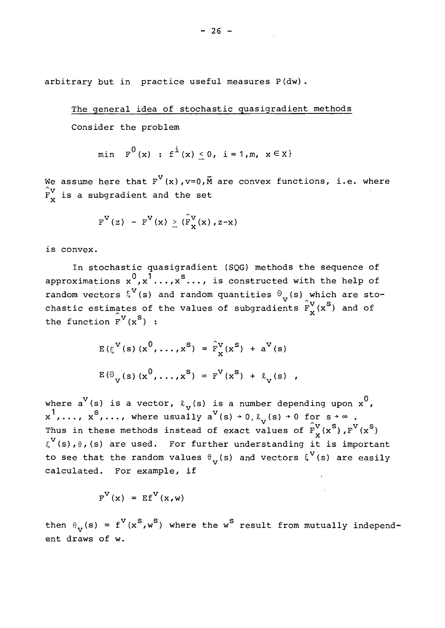arbitrary but in practice useful measures P(dw).

The general idea of stochastic quasigradient methods

Consider the problem

min F<sup>0</sup>(x) : f<sup>i</sup>(x) 
$$
\leq
$$
 0, i = 1, m, x  $\in$  X}

We assume here that  $F^V(x)$ ,  $v=0$ ,  $\overline{M}$  are convex functions, i.e. where  $\hat{\textbf{r}}_\textbf{x}^\text{V}$  is a subgradient and the set

$$
F^{V}(z) - F^{V}(x) \ge (\hat{F}_{X}^{V}(x), z-x)
$$

is convex.

In stochastic quasigradient (SQG) methods the sequence of is convex.<br>In stochastic<br>approximations x<sup>0</sup>. c quasigradient (SQG) methods the sequence of<br> $1, x^1, \ldots, x^S, \ldots$ , is constructed with the help of random vectors  $\xi^{\mathbf{V}}(s)$  and random quantities  $\overset{\Theta} {\underset{\sim}{\mathbf{v}}}(s)$  which are stochastic estimates of the values of subgradients  $\hat{F}_{\mathbf{x}}^{V}(x^{\mathbf{S}})$  and of the function  $\hat{F}^V(x^S)$  :

$$
E(\xi^{V}(s) (x^{0},...,x^{S}) = \hat{F}_{X}^{V}(x^{S}) + a^{V}(s)
$$
  

$$
E(\theta_{V}(s) (x^{0},...,x^{S}) = F^{V}(x^{S}) + \ell_{V}(s),
$$

 $x^1, \ldots, x^S, \ldots$ , where usually  $a^V(s) \rightarrow 0, \ell_V(s) \rightarrow 0$  for  $s \rightarrow \infty$  .<br>Thus in these methods instead of exact values of  $\hat{F}_X^V(x^S), F^V(x^S)$ v *E,* (s),6,(s) are used. For further understanding it is important where  $a^V(s)$  is a vector,  $\ell_{_{\rm V}}(s)$  is a number depending upon  $x^0$ , to see that the random values  $\theta_{\mathbf{v}}(\mathbf{s})$  and vectors  $\mathbf{\xi}^{\mathbf{V}}(\mathbf{s})$  are easily  $x^1, \ldots, x^S, \ldots$ , where calculated. For example, if

$$
F^{V}(x) = EF^{V}(x, w)
$$

then  $\theta_V(s) = f^V(x^s, w^s)$  where the  $w^s$  result from mutually independent draws of w.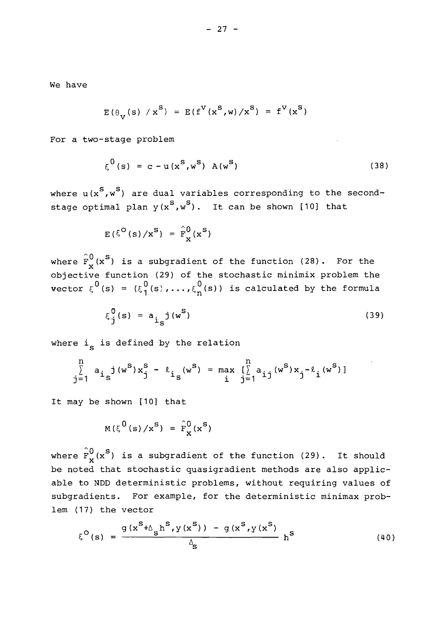We have

$$
E(\theta_V(s) / x^S) = E(f^V(x^S, w) / x^S) = f^V(x^S)
$$

For a two-stage problem

$$
\xi^{0} (s) = c - u(x^{s}, w^{s}) A(w^{s})
$$
 (38)

where  $u(x^s, w^s)$  are dual variables corresponding to the secondstage optimal plan  $y(x^s, w^s)$ . It can be shown [10] that

$$
E(\xi^O(s)/x^S) = \hat{F}_X^O(x^S)
$$

where  $\hat{\textbf{r}}_{\textbf{x}}^{0}(\textbf{x}^{\textbf{S}})$  is a subgradient of the function (28). For the objective function (29) of the stochastic minimix problem the vector  $\zeta^0(s) = (\zeta_1^0(s), \ldots, \zeta_n^0(s))$  is calculated by the formula

$$
\xi_j^0(s) = a_{i_S}^j(w^S) \tag{39}
$$

where  $i_{\mathtt{S}}$  is defined by the relation

$$
\sum_{j=1}^{n} a_{i} j(w^{s}) x_{j}^{s} - \ell_{i} (w^{s}) = \max_{i} \left[ \sum_{j=1}^{n} a_{ij} (w^{s}) x_{j} - \ell_{i} (w^{s}) \right]
$$

It may be shown [10] that

$$
M(\xi^{0}(s)/x^{s}) = \hat{F}_{x}^{0}(x^{s})
$$

where  $\hat{\textbf{r}}_{\textbf{X}}^{0}(\textbf{x}^{\textbf{S}})$  is a subgradient of the function (29). It should be noted that stochastic quasigradient methods are also applicable to NDD deterministic problems, without requiring values of subgradients. For example, for the deterministic minimax problem (17) the vector

$$
\xi^{O}(s) = \frac{g(x^{S} + \Delta_{S} h^{S} , y(x^{S})) - g(x^{S} , y(x^{S})}{\Delta_{S}} h^{S}
$$
 (40)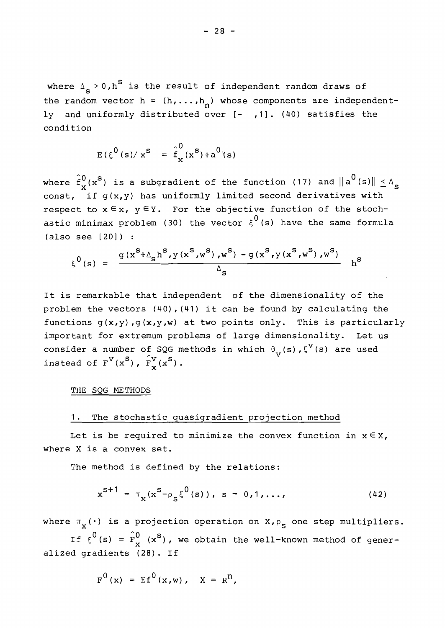where  $\Delta_{\bf S}^+ > 0$ , ${\bf h}^{\bf S}$  is the result of independent random draws of the random vector h =  $(h, \ldots, h_n)$  whose components are independently and uniformly distributed over [- ,1]. (40) satisfies the condition

$$
E(\xi^{0}(s)/x^{S} = \hat{f}_{x}^{0}(x^{S})+a^{0}(s)
$$

where  $\hat{\mathrm{f}}_{\mathrm{x}}^{0}(\mathrm{x}^{\mathrm{S}})$  is a subgradient of the function (17) and  $\|\,\mathrm{a}^{0}(\mathrm{s})\| \leq \Delta_{\mathrm{g}}$ const, if  $g(x,y)$  has uniformly limited second derivatives with respect to  $x \in x$ ,  $y \in Y$ . For the objective function of the stochastic minimax problem (30) the vector  $\xi^0$  (s) have the same formula (also see [20]) :

$$
\xi^{0}(s) = \frac{g(x^{s} + \Delta_{s} h^{s}, y(x^{s}, w^{s}), w^{s}) - g(x^{s}, y(x^{s}, w^{s}), w^{s})}{\Delta_{s}} h^{s}
$$

It is remarkable that independent of the dimensionality of the problem the vectors (40), (41) it can be found by calculating the functions  $g(x,y)$ ,  $g(x,y,w)$  at two points only. This is particularly important for extremum problems of large dimensionality. Let us consider a number of SQG methods in which  $\theta_{\mathbf{v}}(s)$ ,  $\xi^{\mathbf{V}}(s)$  are used instead of  $F^V(x^S)$ ,  $\hat{F}^V_{\mathbf{v}}(x^S)$ .

#### THE SQG METHODS

#### 1. The stochastic quasigradient projection method

Let is be required to minimize the convex function in  $x \in X$ , where <sup>X</sup> is <sup>a</sup> convex set.

The method is defined by the relations:

$$
x^{s+1} = \pi_x(x^{s} - \rho_s \xi^{0}(s)), \quad s = 0, 1, ..., \tag{42}
$$

where  $\pi_{{}_{\mathbf{X}}}(\,\boldsymbol{\cdot})$  is a projection operation on X, $\bm{{\rho}}_{{}_{\mathbf{S}}}$  one step multipliers.

If  $\xi^0$  (s) =  $\hat{F}_{\mathbf{x}}^0$  (x<sup>S</sup>), we obtain the well-known method of generalized gradients (28). If

$$
F^{0}(x) = EF^{0}(x,w), X = R^{n},
$$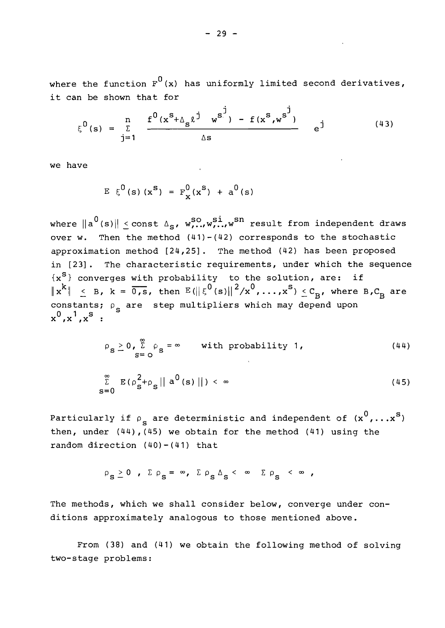where the function  $F^0(x)$  has uniformly limited second derivatives, it can be shown that for

$$
\xi^{0}(s) = \sum_{j=1}^{n} \frac{f^{0}(x^{s} + \Delta_{s} \ell^{j} w^{s^{j}}) - f(x^{s} w^{s^{j}})}{\Delta s} e^{j}
$$
(43)

we have

$$
E \xi^0(s) (x^s) = F_x^0 (x^s) + a^0(s)
$$

where  $\|{\rm a}^{\rm 0}({\rm s})\| \le {\rm const}$   $\mathfrak{a}_{{\rm s}}$ ,  $\mathsf{w}^{{\rm SO}}_{{\boldsymbol{\prime}}},..,\mathsf{w}^{{\rm Sn}}_{{\boldsymbol{\prime}}},...$  result from independent draws over w. Then the method  $(41)-(42)$  corresponds to the stochastic approximation method [24,25]. The method (42) has been proposed in [23]. The characteristic requirements, under which the sequence  ${x<sup>s</sup>}$  converges with probability to the solution, are: if  $\|x^{k}\|$   $\leq$  B,  $k = \overline{0, s}$ , then  $E(||\xi^{0}(s)||^{2}/x^{0}, ..., x^{s}) \leq C_{B}$ , where  $B, C_{B}$  are constants;  $\rho_{\bf g}$  are step multipliers which may depend upon  $x^0, x^1, x^s$  :

$$
\rho_{\mathbf{S}} \geq 0, \sum_{\mathbf{S}=\mathbf{O}}^{\infty} \rho_{\mathbf{S}} = \infty \qquad \text{with probability } 1,
$$
 (44)

$$
\sum_{s=0}^{\infty} E(\rho_s^2 + \rho_s || a^0(s) ||) < \infty
$$
 (45)

Particularly if  $\rho_{_{\bf S}}$  are deterministic and independent of  $({\bf x}^0, \dots {\bf x}^{\bf S})$ then, under (44), (45) we obtain for the method (41) using the random direction (40)-(41) that

$$
\rho_{\mathbf{S}} \geq 0 \ , \ \Sigma \rho_{\mathbf{S}} = \infty, \ \Sigma \rho_{\mathbf{S}} \Delta_{\mathbf{S}} < \infty \ \Sigma \rho_{\mathbf{S}} < \infty \ ,
$$

The methods, which we shall consider below, converge under conditions approximately analogous to those mentioned above.

From (38) and (41) we obtain the following method of solving two-stage problems: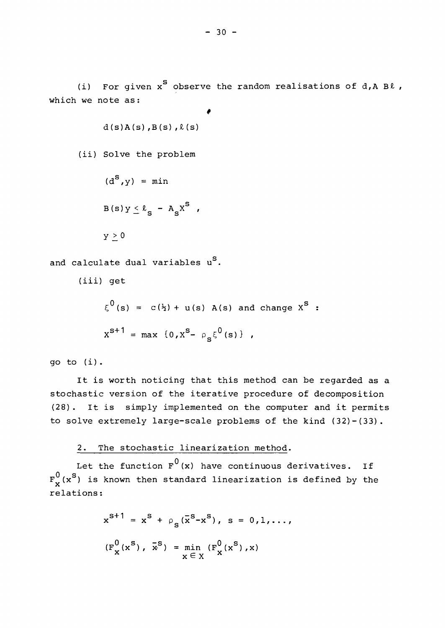(i) For given  $x^{\texttt{S}}$  observe the random realisations of d,A B $\ell$ which we note as:

$$
d(s)A(s), B(s), \ell(s)
$$
\n(ii) Solve the problem\n
$$
(d^{S}, y) = min
$$
\n
$$
B(s)y \leq \ell_{S} - A_{S}X^{S}
$$
\n
$$
y \geq 0
$$
\nand calculate dual variables u<sup>S</sup>.\n(iii) get

$$
\xi^0(s) = c(\xi) + u(s) A(s)
$$
 and change  $X^s$ :  
 $X^{s+1} = \max \{0, X^s - \rho_s \xi^0(s)\},$ 

go to (i).

It is worth noticing that this method can be regarded as <sup>a</sup> stochastic version of the iterative procedure of decomposition (28). It is simply implemented on the computer and it permits to solve extremely large-scale problems of the kind (32)-(33).

## 2. The stochastic linearization method.

Let the function  $F^0(x)$  have continuous derivatives. If  $F_{x}^{0}(x^{S})$  is known then standard linearization is defined by the relations:

$$
x^{s+1} = x^s + \rho_s(\overline{x}^s - x^s), s = 0, 1, ...,
$$
  
 $(F_x^0(x^s), \overline{x}^s) = \min_{x \in X} (F_x^0(x^s), x)$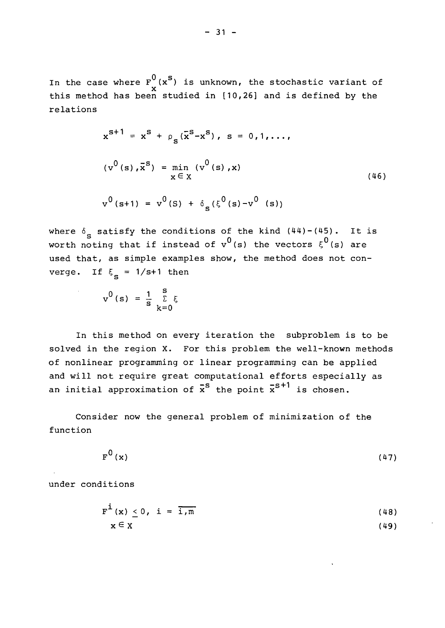In the case where  $F_{v}^{0}(x^{s})$  is unknown, the stochastic variant of this method has been studied in [10,26] and is defined by the relations

$$
x^{s+1} = x^{s} + \rho_{s}(\overline{x}^{s} - x^{s}), \quad s = 0, 1, ...,
$$
  

$$
(v^{0}(s), \overline{x}^{s}) = \min_{x \in X} (v^{0}(s), x)
$$
  

$$
v^{0}(s+1) = v^{0}(s) + \delta_{s}(\xi^{0}(s) - v^{0}(s))
$$
 (46)

where  $\delta_{\bf g}$  satisfy the conditions of the kind (44)-(45). It is<br>worth noting that if instead of  ${\rm v}^0({\rm s})$  the vectors  $\xi^0({\rm s})$  are used that, as simple examples show, the method does not converge. If  $\xi_{\rm g} = 1/\text{s}+1$  then

$$
v^0(s) = \frac{1}{s} \sum_{k=0}^{s} \xi
$$

In this method on every iteration the subproblem is to be solved in the region X. For this problem the well-known methods of nonlinear programming or linear programming can be applied and will not require great computational efforts especially as an initial approximation of  $\bar{x}^{\rm S}$  the point  $\bar{x}^{\rm S+1}$  is chosen.

Consider now the general problem of minimization of the function

$$
\mathbf{F}^{\mathbf{0}}\left(\mathbf{x}\right)
$$
 (47)

under conditions

$$
F^{\dot{1}}(x) \leq 0, \quad \dot{1} = \overline{\dot{1}, m} \tag{48}
$$
\n
$$
x \in X \tag{49}
$$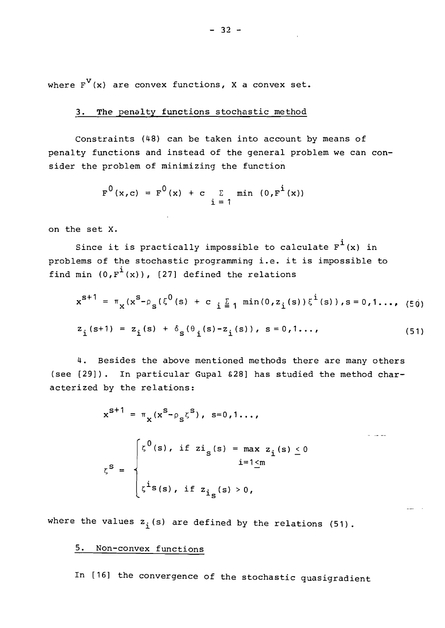where  $F^{V}(x)$  are convex functions, X a convex set.

## 3. The penalty functions stochastic method

Constraints (48) can be taken into account by means of penalty functions and instead of the general problem we can consider the problem of minimizing the function

$$
F^{0}(x, c) = F^{0}(x) + c \sum_{i=1}^{n} min (0, F^{i}(x))
$$

on the set X.

Since it is practically impossible to calculate  $F^{\dot{1}}(x)$  in problems of the stochastic programming i.e. it is impossible to find min  $(0, F^{\mathbf{i}}(x))$ , [27] defined the relations

$$
x^{S+1} = \pi_x (x^S - \rho_S (\xi^0 (s) + c_{i \underline{\xi}} \eta \min(0, z_i(s)) \xi^i(s)), s = 0, 1, ..., \quad (50)
$$
  

$$
z_i (s+1) = z_i (s) + \delta_S (\theta_i (s) - z_i (s)), s = 0, 1, ..., \quad (51)
$$

4. Besides the above mentioned methods there are many others (see [29]). In particular Gupal &28] has studied the method characterized by the relations:

> $x^{\texttt{s+1}}$  $\zeta^0$ (s), if zi $_{\bf S}$ (s) = max z<sub>i</sub>(s)  $\leq$  0 i=1<m  $\zeta^{\texttt{i}}$ s(s), if z $_{\texttt{i}_\texttt{S}}(\texttt{s}) > 0$ ,

where the values  $z_j(s)$  are defined by the relations (51).

## 5. Non-convex functions

In [16] the convergence of the stochastic quasigradient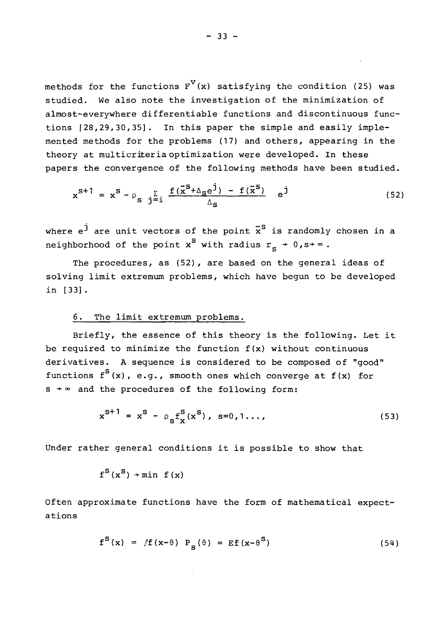methods for the functions  $F^V(x)$  satisfying the condition (25) was studied. We also note the investigation of the minimization of almost-everywhere differentiable functions and discontinuous functions [28,29,30,35]. In this paper the simple and easily implemented methods for the problems (17) and others, appearing in the theory at multicriteria optimization were developed. In these papers the convergence of the following methods have been studied.

$$
x^{S+1} = x^S - \rho_S \frac{\sum\limits_{j=1}^{S} \frac{f(\overline{x}^S + \Delta_S e^j) - f(\overline{x}^S)}{\Delta_S} e^j} \quad e^j \tag{52}
$$

where  $e^{j}$  are unit vectors of the point  $\bar{x}^{s}$  is randomly chosen in a neighborhood of the point  $x^{\texttt{S}}$  with radius  $\texttt{r}_{_{\texttt{S}}}$  +  $0$ ,s+  $^{\infty}$ .

The procedures, as (52), are based on the general ideas of solving limit extremum problems, which have begun to be developed in [33].

#### 6. The limit extremum problems.

Briefly, the essence of this theory is the following. Let it be required to minimize the function  $f(x)$  without continuous derivatives. <sup>A</sup> sequence is considered to be composed of "good" functions  $f^{S}(x)$ , e.g., smooth ones which converge at  $f(x)$  for  $s \rightarrow \infty$  and the procedures of the following form:

$$
x^{S+1} = x^{S} - \rho_{S} f_{X}^{S}(x^{S}), \quad s = 0, 1, ..., \qquad (53)
$$

Under rather general conditions it is possible to show that

$$
f^{S}(x^{S})
$$
 + min f(x)

Often "approximate functions have the form of mathematical expectations

$$
f^{S}(x) = f f(x-\theta) P_{S}(\theta) = Ef(x-\theta^{S})
$$
\n(54)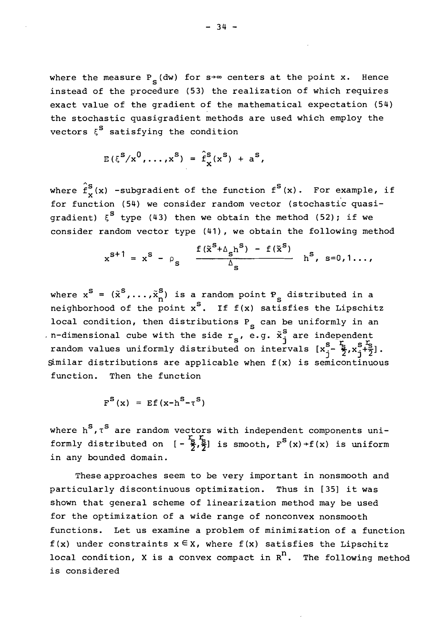where the measure  $P_S(dw)$  for s $+\infty$  centers at the point x. Hence instead of the procedure (53) the realization of which requires exact value of the gradient of the mathematical expectation (54) the stochastic quasigradient methods are used which employ the vectors  $\xi^S$  satisfying the condition

$$
E(\xi^{S}/x^{0},...,x^{S}) = \hat{f}_{x}^{S}(x^{S}) + a^{S},
$$

where  $\hat{f}_{x}^{S}(x)$  -subgradient of the function  $f^{S}(x)$ . For example, if for function (54) we consider random vector (stochastic quasigradient)  $\xi^S$  type (43) then we obtain the method (52); if we consider random vector type (41), we obtain the following method

$$
x^{s+1} = x^s - \rho_s \frac{f(\tilde{x}^s + \Delta_s h^s) - f(\tilde{x}^s)}{\Delta_s} h^s, s = 0, 1, ...,
$$

where  $x^S = (\tilde{x}^S, \dots, \tilde{x}_n^S)$  is a random point  $P_S$  distributed in a s neighborhood of the point  $x^S$ . If  $f(x)$  satisfies the Lipschitz local condition, then distributions  $P_S$  can be uniformly in an n-dimensional cube with the side  $r_s$ , e.g.  $\tilde{x}_j^s$  are random values uniformly distributed on intervals Similar distributions are applicable when  $f(x)$  is semicontinuous function. Then the function

$$
F^{S}(x) = Ef(x-h^{S}-\tau^{S})
$$

where  $h$ <sup>S</sup>, $\tau$ <sup>S</sup> are random vectors with independent components uniformly distributed on  $[-\frac{r}{2},\frac{r}{2}]$  is smooth,  $F^{S}(x)+f(x)$  is uniform in any bounded domain.

These approaches seem to be very important in nonsmooth and particularly discontinuous optimization. Thus in [35] it was shown that general scheme of linearization method may be used for the optimization of a wide range of nonconvex nonsmooth functions. Let us examine a problem of minimization of a function  $f(x)$  under constraints  $x \in X$ , where  $f(x)$  satisfies the Lipschitz local condition, X is a convex compact in  $R^n$ . The following method is considered